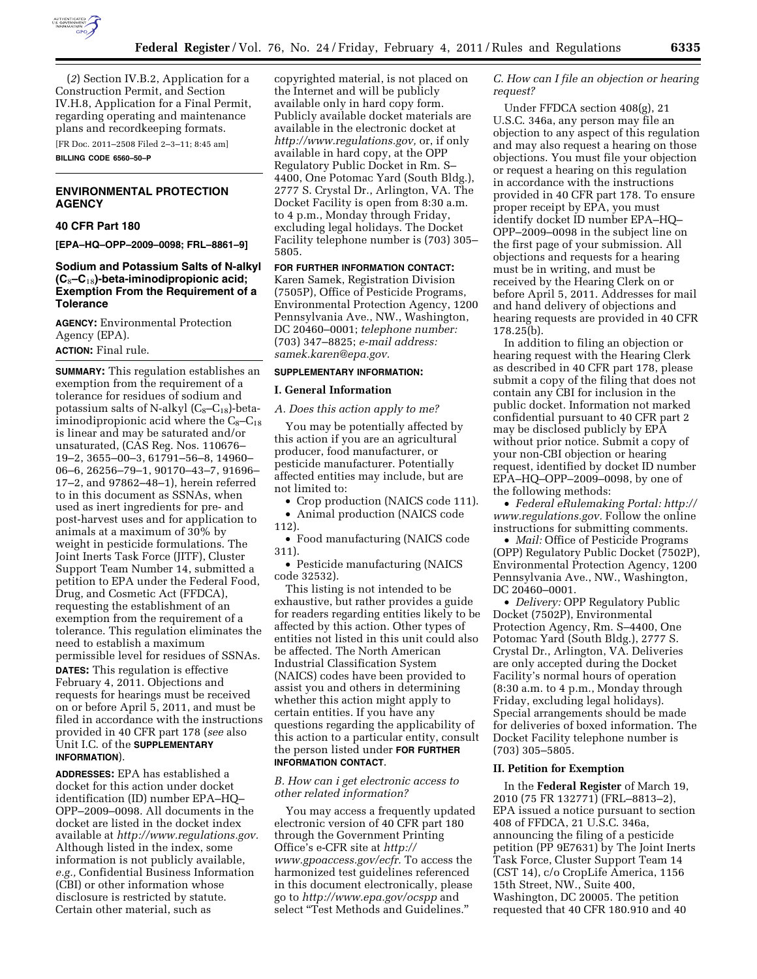

(*2*) Section IV.B.2, Application for a Construction Permit, and Section IV.H.8, Application for a Final Permit, regarding operating and maintenance plans and recordkeeping formats. [FR Doc. 2011–2508 Filed 2–3–11; 8:45 am]

**BILLING CODE 6560–50–P** 

## **ENVIRONMENTAL PROTECTION AGENCY**

# **40 CFR Part 180**

**[EPA–HQ–OPP–2009–0098; FRL–8861–9]** 

## **Sodium and Potassium Salts of N-alkyl (C**8**–C**18**)-beta-iminodipropionic acid; Exemption From the Requirement of a Tolerance**

**AGENCY:** Environmental Protection Agency (EPA).

# **ACTION:** Final rule.

**SUMMARY:** This regulation establishes an exemption from the requirement of a tolerance for residues of sodium and potassium salts of N-alkyl  $(C_8-C_{18})$ -betaiminodipropionic acid where the  $C_8-C_{18}$ is linear and may be saturated and/or unsaturated, (CAS Reg. Nos. 110676– 19–2, 3655–00–3, 61791–56–8, 14960– 06–6, 26256–79–1, 90170–43–7, 91696– 17–2, and 97862–48–1), herein referred to in this document as SSNAs, when used as inert ingredients for pre- and post-harvest uses and for application to animals at a maximum of 30% by weight in pesticide formulations. The Joint Inerts Task Force (JITF), Cluster Support Team Number 14, submitted a petition to EPA under the Federal Food, Drug, and Cosmetic Act (FFDCA), requesting the establishment of an exemption from the requirement of a tolerance. This regulation eliminates the need to establish a maximum permissible level for residues of SSNAs.

**DATES:** This regulation is effective February 4, 2011. Objections and requests for hearings must be received on or before April 5, 2011, and must be filed in accordance with the instructions provided in 40 CFR part 178 (*see* also Unit I.C. of the **SUPPLEMENTARY INFORMATION**).

**ADDRESSES:** EPA has established a docket for this action under docket identification (ID) number EPA–HQ– OPP–2009–0098. All documents in the docket are listed in the docket index available at *[http://www.regulations.gov.](http://www.regulations.gov)*  Although listed in the index, some information is not publicly available, *e.g.,* Confidential Business Information (CBI) or other information whose disclosure is restricted by statute. Certain other material, such as

copyrighted material, is not placed on the Internet and will be publicly available only in hard copy form. Publicly available docket materials are available in the electronic docket at *[http://www.regulations.gov,](http://www.regulations.gov)* or, if only available in hard copy, at the OPP Regulatory Public Docket in Rm. S– 4400, One Potomac Yard (South Bldg.), 2777 S. Crystal Dr., Arlington, VA. The Docket Facility is open from 8:30 a.m. to 4 p.m., Monday through Friday, excluding legal holidays. The Docket Facility telephone number is (703) 305– 5805.

## **FOR FURTHER INFORMATION CONTACT:**

Karen Samek, Registration Division (7505P), Office of Pesticide Programs, Environmental Protection Agency, 1200 Pennsylvania Ave., NW., Washington, DC 20460–0001; *telephone number:*  (703) 347–8825; *e-mail address: [samek.karen@epa.gov.](mailto:samek.karen@epa.gov)* 

## **SUPPLEMENTARY INFORMATION:**

#### **I. General Information**

#### *A. Does this action apply to me?*

You may be potentially affected by this action if you are an agricultural producer, food manufacturer, or pesticide manufacturer. Potentially affected entities may include, but are not limited to:

• Crop production (NAICS code 111). • Animal production (NAICS code

112).

• Food manufacturing (NAICS code 311).

• Pesticide manufacturing (NAICS code 32532).

This listing is not intended to be exhaustive, but rather provides a guide for readers regarding entities likely to be affected by this action. Other types of entities not listed in this unit could also be affected. The North American Industrial Classification System (NAICS) codes have been provided to assist you and others in determining whether this action might apply to certain entities. If you have any questions regarding the applicability of this action to a particular entity, consult the person listed under **FOR FURTHER INFORMATION CONTACT**.

## *B. How can i get electronic access to other related information?*

You may access a frequently updated electronic version of 40 CFR part 180 through the Government Printing Office's e-CFR site at *[http://](http://www.gpoaccess.gov/ecfr)  [www.gpoaccess.gov/ecfr.](http://www.gpoaccess.gov/ecfr)* To access the harmonized test guidelines referenced in this document electronically, please go to *<http://www.epa.gov/ocspp>*and select ''Test Methods and Guidelines.''

# *C. How can I file an objection or hearing request?*

Under FFDCA section 408(g), 21 U.S.C. 346a, any person may file an objection to any aspect of this regulation and may also request a hearing on those objections. You must file your objection or request a hearing on this regulation in accordance with the instructions provided in 40 CFR part 178. To ensure proper receipt by EPA, you must identify docket ID number EPA–HQ– OPP–2009–0098 in the subject line on the first page of your submission. All objections and requests for a hearing must be in writing, and must be received by the Hearing Clerk on or before April 5, 2011. Addresses for mail and hand delivery of objections and hearing requests are provided in 40 CFR 178.25(b).

In addition to filing an objection or hearing request with the Hearing Clerk as described in 40 CFR part 178, please submit a copy of the filing that does not contain any CBI for inclusion in the public docket. Information not marked confidential pursuant to 40 CFR part 2 may be disclosed publicly by EPA without prior notice. Submit a copy of your non-CBI objection or hearing request, identified by docket ID number EPA–HQ–OPP–2009–0098, by one of the following methods:

• *Federal eRulemaking Portal: [http://](http://www.regulations.gov)  [www.regulations.gov.](http://www.regulations.gov)* Follow the online instructions for submitting comments.

• *Mail:* Office of Pesticide Programs (OPP) Regulatory Public Docket (7502P), Environmental Protection Agency, 1200 Pennsylvania Ave., NW., Washington, DC 20460–0001.

• *Delivery:* OPP Regulatory Public Docket (7502P), Environmental Protection Agency, Rm. S–4400, One Potomac Yard (South Bldg.), 2777 S. Crystal Dr., Arlington, VA. Deliveries are only accepted during the Docket Facility's normal hours of operation (8:30 a.m. to 4 p.m., Monday through Friday, excluding legal holidays). Special arrangements should be made for deliveries of boxed information. The Docket Facility telephone number is (703) 305–5805.

#### **II. Petition for Exemption**

In the **Federal Register** of March 19, 2010 (75 FR 132771) (FRL–8813–2), EPA issued a notice pursuant to section 408 of FFDCA, 21 U.S.C. 346a, announcing the filing of a pesticide petition (PP 9E7631) by The Joint Inerts Task Force, Cluster Support Team 14 (CST 14), c/o CropLife America, 1156 15th Street, NW., Suite 400, Washington, DC 20005. The petition requested that 40 CFR 180.910 and 40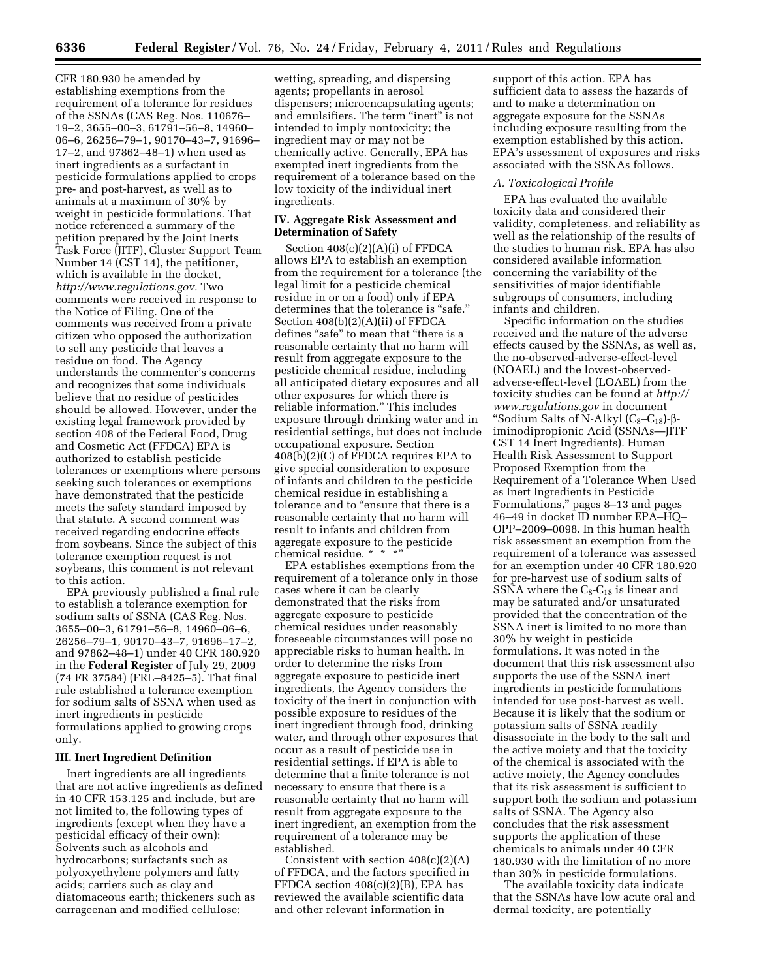CFR 180.930 be amended by establishing exemptions from the requirement of a tolerance for residues of the SSNAs (CAS Reg. Nos. 110676– 19–2, 3655–00–3, 61791–56–8, 14960– 06–6, 26256–79–1, 90170–43–7, 91696– 17–2, and 97862–48–1) when used as inert ingredients as a surfactant in pesticide formulations applied to crops pre- and post-harvest, as well as to animals at a maximum of 30% by weight in pesticide formulations. That notice referenced a summary of the petition prepared by the Joint Inerts Task Force (JITF), Cluster Support Team Number 14 (CST 14), the petitioner, which is available in the docket, *[http://www.regulations.gov.](http://www.regulations.gov)* Two comments were received in response to the Notice of Filing. One of the comments was received from a private citizen who opposed the authorization to sell any pesticide that leaves a residue on food. The Agency understands the commenter's concerns and recognizes that some individuals believe that no residue of pesticides should be allowed. However, under the existing legal framework provided by section 408 of the Federal Food, Drug and Cosmetic Act (FFDCA) EPA is authorized to establish pesticide tolerances or exemptions where persons seeking such tolerances or exemptions have demonstrated that the pesticide meets the safety standard imposed by that statute. A second comment was received regarding endocrine effects from soybeans. Since the subject of this tolerance exemption request is not soybeans, this comment is not relevant to this action.

EPA previously published a final rule to establish a tolerance exemption for sodium salts of SSNA (CAS Reg. Nos. 3655–00–3, 61791–56–8, 14960–06–6, 26256–79–1, 90170–43–7, 91696–17–2, and 97862–48–1) under 40 CFR 180.920 in the **Federal Register** of July 29, 2009 (74 FR 37584) (FRL–8425–5). That final rule established a tolerance exemption for sodium salts of SSNA when used as inert ingredients in pesticide formulations applied to growing crops only.

### **III. Inert Ingredient Definition**

Inert ingredients are all ingredients that are not active ingredients as defined in 40 CFR 153.125 and include, but are not limited to, the following types of ingredients (except when they have a pesticidal efficacy of their own): Solvents such as alcohols and hydrocarbons; surfactants such as polyoxyethylene polymers and fatty acids; carriers such as clay and diatomaceous earth; thickeners such as carrageenan and modified cellulose;

wetting, spreading, and dispersing agents; propellants in aerosol dispensers; microencapsulating agents; and emulsifiers. The term "inert" is not intended to imply nontoxicity; the ingredient may or may not be chemically active. Generally, EPA has exempted inert ingredients from the requirement of a tolerance based on the low toxicity of the individual inert ingredients.

## **IV. Aggregate Risk Assessment and Determination of Safety**

Section 408(c)(2)(A)(i) of FFDCA allows EPA to establish an exemption from the requirement for a tolerance (the legal limit for a pesticide chemical residue in or on a food) only if EPA determines that the tolerance is "safe." Section 408(b)(2)(A)(ii) of FFDCA defines "safe" to mean that "there is a reasonable certainty that no harm will result from aggregate exposure to the pesticide chemical residue, including all anticipated dietary exposures and all other exposures for which there is reliable information.'' This includes exposure through drinking water and in residential settings, but does not include occupational exposure. Section 408(b)(2)(C) of FFDCA requires EPA to give special consideration to exposure of infants and children to the pesticide chemical residue in establishing a tolerance and to "ensure that there is a reasonable certainty that no harm will result to infants and children from aggregate exposure to the pesticide chemical residue. \* \* \*'

EPA establishes exemptions from the requirement of a tolerance only in those cases where it can be clearly demonstrated that the risks from aggregate exposure to pesticide chemical residues under reasonably foreseeable circumstances will pose no appreciable risks to human health. In order to determine the risks from aggregate exposure to pesticide inert ingredients, the Agency considers the toxicity of the inert in conjunction with possible exposure to residues of the inert ingredient through food, drinking water, and through other exposures that occur as a result of pesticide use in residential settings. If EPA is able to determine that a finite tolerance is not necessary to ensure that there is a reasonable certainty that no harm will result from aggregate exposure to the inert ingredient, an exemption from the requirement of a tolerance may be established.

Consistent with section  $408(c)(2)(A)$ of FFDCA, and the factors specified in FFDCA section  $408(c)(2)(B)$ , EPA has reviewed the available scientific data and other relevant information in

support of this action. EPA has sufficient data to assess the hazards of and to make a determination on aggregate exposure for the SSNAs including exposure resulting from the exemption established by this action. EPA's assessment of exposures and risks associated with the SSNAs follows.

## *A. Toxicological Profile*

EPA has evaluated the available toxicity data and considered their validity, completeness, and reliability as well as the relationship of the results of the studies to human risk. EPA has also considered available information concerning the variability of the sensitivities of major identifiable subgroups of consumers, including infants and children.

Specific information on the studies received and the nature of the adverse effects caused by the SSNAs, as well as, the no-observed-adverse-effect-level (NOAEL) and the lowest-observedadverse-effect-level (LOAEL) from the toxicity studies can be found at *[http://](http://www.regulations.gov) [www.regulations.gov](http://www.regulations.gov)* in document "Sodium Salts of N-Alkyl  $(C_8-C_{18})$ - $\beta$ iminodipropionic Acid (SSNAs—JITF CST 14 Inert Ingredients). Human Health Risk Assessment to Support Proposed Exemption from the Requirement of a Tolerance When Used as Inert Ingredients in Pesticide Formulations,'' pages 8–13 and pages 46–49 in docket ID number EPA–HQ– OPP–2009–0098. In this human health risk assessment an exemption from the requirement of a tolerance was assessed for an exemption under 40 CFR 180.920 for pre-harvest use of sodium salts of SSNA where the  $C_8$ - $C_{18}$  is linear and may be saturated and/or unsaturated provided that the concentration of the SSNA inert is limited to no more than 30% by weight in pesticide formulations. It was noted in the document that this risk assessment also supports the use of the SSNA inert ingredients in pesticide formulations intended for use post-harvest as well. Because it is likely that the sodium or potassium salts of SSNA readily disassociate in the body to the salt and the active moiety and that the toxicity of the chemical is associated with the active moiety, the Agency concludes that its risk assessment is sufficient to support both the sodium and potassium salts of SSNA. The Agency also concludes that the risk assessment supports the application of these chemicals to animals under 40 CFR 180.930 with the limitation of no more than 30% in pesticide formulations.

The available toxicity data indicate that the SSNAs have low acute oral and dermal toxicity, are potentially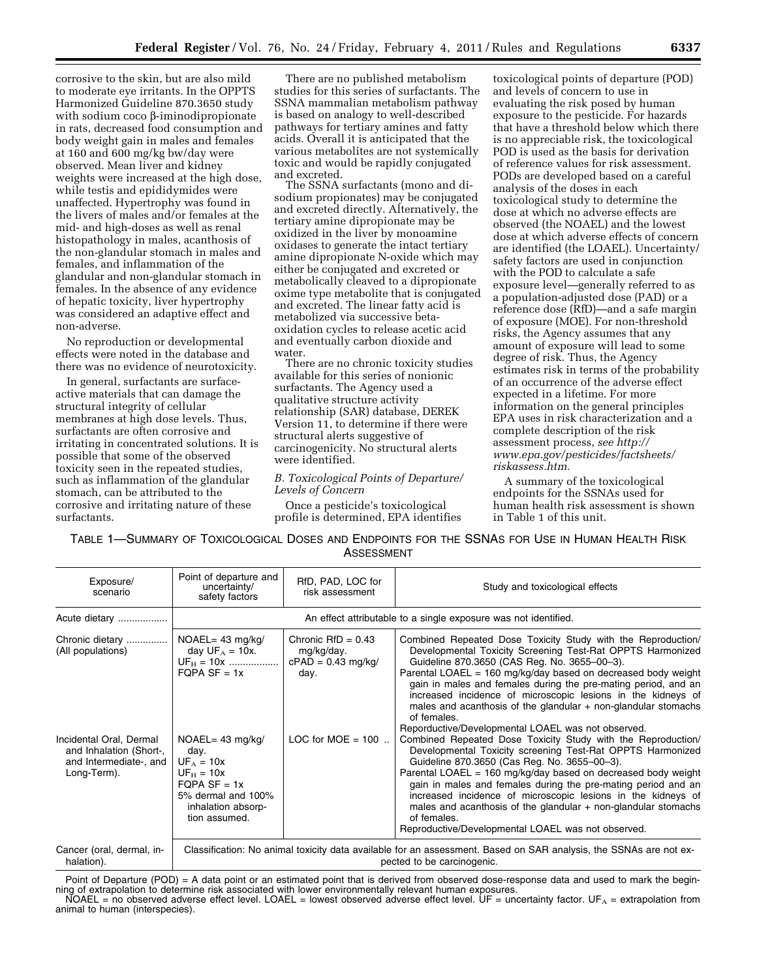corrosive to the skin, but are also mild to moderate eye irritants. In the OPPTS Harmonized Guideline 870.3650 study with sodium coco  $\beta$ -iminodipropionate in rats, decreased food consumption and body weight gain in males and females at 160 and 600 mg/kg bw/day were observed. Mean liver and kidney weights were increased at the high dose, while testis and epididymides were unaffected. Hypertrophy was found in the livers of males and/or females at the mid- and high-doses as well as renal histopathology in males, acanthosis of the non-glandular stomach in males and females, and inflammation of the glandular and non-glandular stomach in females. In the absence of any evidence of hepatic toxicity, liver hypertrophy was considered an adaptive effect and non-adverse.

No reproduction or developmental effects were noted in the database and there was no evidence of neurotoxicity.

In general, surfactants are surfaceactive materials that can damage the structural integrity of cellular membranes at high dose levels. Thus, surfactants are often corrosive and irritating in concentrated solutions. It is possible that some of the observed toxicity seen in the repeated studies, such as inflammation of the glandular stomach, can be attributed to the corrosive and irritating nature of these surfactants.

There are no published metabolism studies for this series of surfactants. The SSNA mammalian metabolism pathway is based on analogy to well-described pathways for tertiary amines and fatty acids. Overall it is anticipated that the various metabolites are not systemically toxic and would be rapidly conjugated and excreted.

The SSNA surfactants (mono and disodium propionates) may be conjugated and excreted directly. Alternatively, the tertiary amine dipropionate may be oxidized in the liver by monoamine oxidases to generate the intact tertiary amine dipropionate N-oxide which may either be conjugated and excreted or metabolically cleaved to a dipropionate oxime type metabolite that is conjugated and excreted. The linear fatty acid is metabolized via successive betaoxidation cycles to release acetic acid and eventually carbon dioxide and water.

There are no chronic toxicity studies available for this series of nonionic surfactants. The Agency used a qualitative structure activity relationship (SAR) database, DEREK Version 11, to determine if there were structural alerts suggestive of carcinogenicity. No structural alerts were identified.

*B. Toxicological Points of Departure/ Levels of Concern* 

Once a pesticide's toxicological profile is determined, EPA identifies

toxicological points of departure (POD) and levels of concern to use in evaluating the risk posed by human exposure to the pesticide. For hazards that have a threshold below which there is no appreciable risk, the toxicological POD is used as the basis for derivation of reference values for risk assessment. PODs are developed based on a careful analysis of the doses in each toxicological study to determine the dose at which no adverse effects are observed (the NOAEL) and the lowest dose at which adverse effects of concern are identified (the LOAEL). Uncertainty/ safety factors are used in conjunction with the POD to calculate a safe exposure level—generally referred to as a population-adjusted dose (PAD) or a reference dose (RfD)—and a safe margin of exposure (MOE). For non-threshold risks, the Agency assumes that any amount of exposure will lead to some degree of risk. Thus, the Agency estimates risk in terms of the probability of an occurrence of the adverse effect expected in a lifetime. For more information on the general principles EPA uses in risk characterization and a complete description of the risk assessment process, *see [http://](http://www.epa.gov/pesticides/factsheets/riskassess.htm) [www.epa.gov/pesticides/factsheets/](http://www.epa.gov/pesticides/factsheets/riskassess.htm) [riskassess.htm.](http://www.epa.gov/pesticides/factsheets/riskassess.htm)* 

A summary of the toxicological endpoints for the SSNAs used for human health risk assessment is shown in Table 1 of this unit.

TABLE 1—SUMMARY OF TOXICOLOGICAL DOSES AND ENDPOINTS FOR THE SSNAS FOR USE IN HUMAN HEALTH RISK **ASSESSMENT** 

| Exposure/<br>scenario                                                                       | Point of departure and<br>uncertainty/<br>safety factors                                                                                        | RfD, PAD, LOC for<br>risk assessment                               | Study and toxicological effects                                                                                                                                                                                                                                                                                                                                                                                                                                                                                                  |  |  |
|---------------------------------------------------------------------------------------------|-------------------------------------------------------------------------------------------------------------------------------------------------|--------------------------------------------------------------------|----------------------------------------------------------------------------------------------------------------------------------------------------------------------------------------------------------------------------------------------------------------------------------------------------------------------------------------------------------------------------------------------------------------------------------------------------------------------------------------------------------------------------------|--|--|
| Acute dietary                                                                               | An effect attributable to a single exposure was not identified.                                                                                 |                                                                    |                                                                                                                                                                                                                                                                                                                                                                                                                                                                                                                                  |  |  |
| Chronic dietary<br>(All populations)                                                        | $NOAEL = 43$ mg/kg/<br>day $UF_A = 10x$ .<br>$UF_H = 10x$<br>$FQPA SF = 1x$                                                                     | Chronic $RfD = 0.43$<br>mg/kg/day.<br>$cPAD = 0.43$ mg/kg/<br>day. | Combined Repeated Dose Toxicity Study with the Reproduction/<br>Developmental Toxicity Screening Test-Rat OPPTS Harmonized<br>Guideline 870.3650 (CAS Reg. No. 3655-00-3).<br>Parental LOAEL = $160 \text{ mg/kg/day}$ based on decreased body weight<br>gain in males and females during the pre-mating period, and an<br>increased incidence of microscopic lesions in the kidneys of<br>males and acanthosis of the glandular $+$ non-glandular stomachs<br>of females.<br>Reporductive/Developmental LOAEL was not observed. |  |  |
| Incidental Oral, Dermal<br>and Inhalation (Short-,<br>and Intermediate-, and<br>Long-Term). | $NOAEL = 43$ mg/kg/<br>day.<br>$UF_A = 10x$<br>$UF_H = 10x$<br>$FQPA SF = 1x$<br>5% dermal and 100%<br>inhalation absorp-<br>tion assumed.      | LOC for MOE = $100$                                                | Combined Repeated Dose Toxicity Study with the Reproduction/<br>Developmental Toxicity screening Test-Rat OPPTS Harmonized<br>Guideline 870.3650 (Cas Reg. No. 3655-00-3).<br>Parental LOAEL = $160 \text{ mg/kg/day}$ based on decreased body weight<br>gain in males and females during the pre-mating period and an<br>increased incidence of microscopic lesions in the kidneys of<br>males and acanthosis of the glandular $+$ non-glandular stomachs<br>of females.<br>Reproductive/Developmental LOAEL was not observed.  |  |  |
| Cancer (oral, dermal, in-<br>halation).                                                     | Classification: No animal toxicity data available for an assessment. Based on SAR analysis, the SSNAs are not ex-<br>pected to be carcinogenic. |                                                                    |                                                                                                                                                                                                                                                                                                                                                                                                                                                                                                                                  |  |  |

Point of Departure (POD) = A data point or an estimated point that is derived from observed dose-response data and used to mark the beginning of extrapolation to determine risk associated with lower environmentally relevant human exposures. NOAEL = no observed adverse effect level. LOAEL = lowest observed adverse effect level. UF = uncertainty factor. UFA = extrapolation from animal to human (interspecies).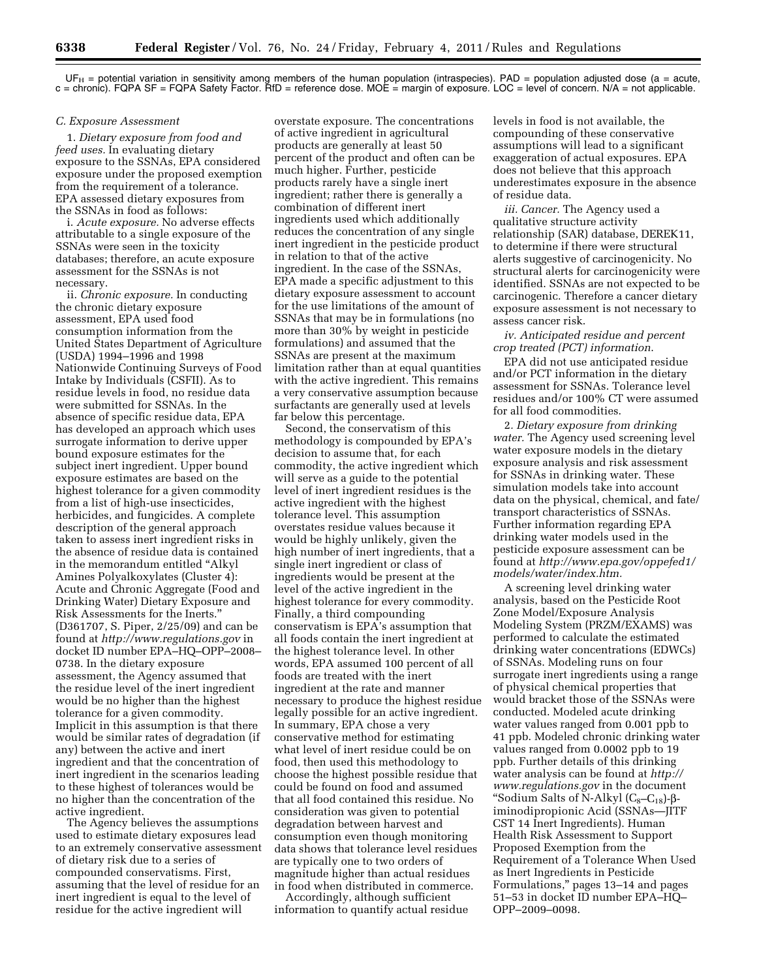$UF_H$  = potential variation in sensitivity among members of the human population (intraspecies). PAD = population adjusted dose (a = acute, c = chronic). FQPA SF = FQPA Safety Factor. RfD = reference dose. MOE = margin of exposure. LOC = level of concern. N/A = not applicable.

#### *C. Exposure Assessment*

1. *Dietary exposure from food and feed uses.* In evaluating dietary exposure to the SSNAs, EPA considered exposure under the proposed exemption from the requirement of a tolerance. EPA assessed dietary exposures from the SSNAs in food as follows:

i. *Acute exposure.* No adverse effects attributable to a single exposure of the SSNAs were seen in the toxicity databases; therefore, an acute exposure assessment for the SSNAs is not necessary.

ii. *Chronic exposure.* In conducting the chronic dietary exposure assessment, EPA used food consumption information from the United States Department of Agriculture (USDA) 1994–1996 and 1998 Nationwide Continuing Surveys of Food Intake by Individuals (CSFII). As to residue levels in food, no residue data were submitted for SSNAs. In the absence of specific residue data, EPA has developed an approach which uses surrogate information to derive upper bound exposure estimates for the subject inert ingredient. Upper bound exposure estimates are based on the highest tolerance for a given commodity from a list of high-use insecticides, herbicides, and fungicides. A complete description of the general approach taken to assess inert ingredient risks in the absence of residue data is contained in the memorandum entitled ''Alkyl Amines Polyalkoxylates (Cluster 4): Acute and Chronic Aggregate (Food and Drinking Water) Dietary Exposure and Risk Assessments for the Inerts.'' (D361707, S. Piper, 2/25/09) and can be found at *<http://www.regulations.gov>* in docket ID number EPA–HQ–OPP–2008– 0738. In the dietary exposure assessment, the Agency assumed that the residue level of the inert ingredient would be no higher than the highest tolerance for a given commodity. Implicit in this assumption is that there would be similar rates of degradation (if any) between the active and inert ingredient and that the concentration of inert ingredient in the scenarios leading to these highest of tolerances would be no higher than the concentration of the active ingredient.

The Agency believes the assumptions used to estimate dietary exposures lead to an extremely conservative assessment of dietary risk due to a series of compounded conservatisms. First, assuming that the level of residue for an inert ingredient is equal to the level of residue for the active ingredient will

overstate exposure. The concentrations of active ingredient in agricultural products are generally at least 50 percent of the product and often can be much higher. Further, pesticide products rarely have a single inert ingredient; rather there is generally a combination of different inert ingredients used which additionally reduces the concentration of any single inert ingredient in the pesticide product in relation to that of the active ingredient. In the case of the SSNAs, EPA made a specific adjustment to this dietary exposure assessment to account for the use limitations of the amount of SSNAs that may be in formulations (no more than 30% by weight in pesticide formulations) and assumed that the SSNAs are present at the maximum limitation rather than at equal quantities with the active ingredient. This remains a very conservative assumption because surfactants are generally used at levels far below this percentage.

Second, the conservatism of this methodology is compounded by EPA's decision to assume that, for each commodity, the active ingredient which will serve as a guide to the potential level of inert ingredient residues is the active ingredient with the highest tolerance level. This assumption overstates residue values because it would be highly unlikely, given the high number of inert ingredients, that a single inert ingredient or class of ingredients would be present at the level of the active ingredient in the highest tolerance for every commodity. Finally, a third compounding conservatism is EPA's assumption that all foods contain the inert ingredient at the highest tolerance level. In other words, EPA assumed 100 percent of all foods are treated with the inert ingredient at the rate and manner necessary to produce the highest residue legally possible for an active ingredient. In summary, EPA chose a very conservative method for estimating what level of inert residue could be on food, then used this methodology to choose the highest possible residue that could be found on food and assumed that all food contained this residue. No consideration was given to potential degradation between harvest and consumption even though monitoring data shows that tolerance level residues are typically one to two orders of magnitude higher than actual residues in food when distributed in commerce.

Accordingly, although sufficient information to quantify actual residue levels in food is not available, the compounding of these conservative assumptions will lead to a significant exaggeration of actual exposures. EPA does not believe that this approach underestimates exposure in the absence of residue data.

*iii. Cancer.* The Agency used a qualitative structure activity relationship (SAR) database, DEREK11, to determine if there were structural alerts suggestive of carcinogenicity. No structural alerts for carcinogenicity were identified. SSNAs are not expected to be carcinogenic. Therefore a cancer dietary exposure assessment is not necessary to assess cancer risk.

*iv. Anticipated residue and percent crop treated (PCT) information*.

EPA did not use anticipated residue and/or PCT information in the dietary assessment for SSNAs. Tolerance level residues and/or 100% CT were assumed for all food commodities.

2*. Dietary exposure from drinking water.* The Agency used screening level water exposure models in the dietary exposure analysis and risk assessment for SSNAs in drinking water. These simulation models take into account data on the physical, chemical, and fate/ transport characteristics of SSNAs. Further information regarding EPA drinking water models used in the pesticide exposure assessment can be found at *[http://www.epa.gov/oppefed1/](http://www.epa.gov/oppefed1/models/water/index.htm)  [models/water/index.htm.](http://www.epa.gov/oppefed1/models/water/index.htm)* 

A screening level drinking water analysis, based on the Pesticide Root Zone Model/Exposure Analysis Modeling System (PRZM/EXAMS) was performed to calculate the estimated drinking water concentrations (EDWCs) of SSNAs. Modeling runs on four surrogate inert ingredients using a range of physical chemical properties that would bracket those of the SSNAs were conducted. Modeled acute drinking water values ranged from 0.001 ppb to 41 ppb. Modeled chronic drinking water values ranged from 0.0002 ppb to 19 ppb. Further details of this drinking water analysis can be found at *[http://](http://www.regulations.gov)  [www.regulations.gov](http://www.regulations.gov)* in the document "Sodium Salts of N-Alkyl  $(C_8-C_{18})-\beta$ iminodipropionic Acid (SSNAs—JITF CST 14 Inert Ingredients). Human Health Risk Assessment to Support Proposed Exemption from the Requirement of a Tolerance When Used as Inert Ingredients in Pesticide Formulations,'' pages 13–14 and pages 51–53 in docket ID number EPA–HQ– OPP–2009–0098.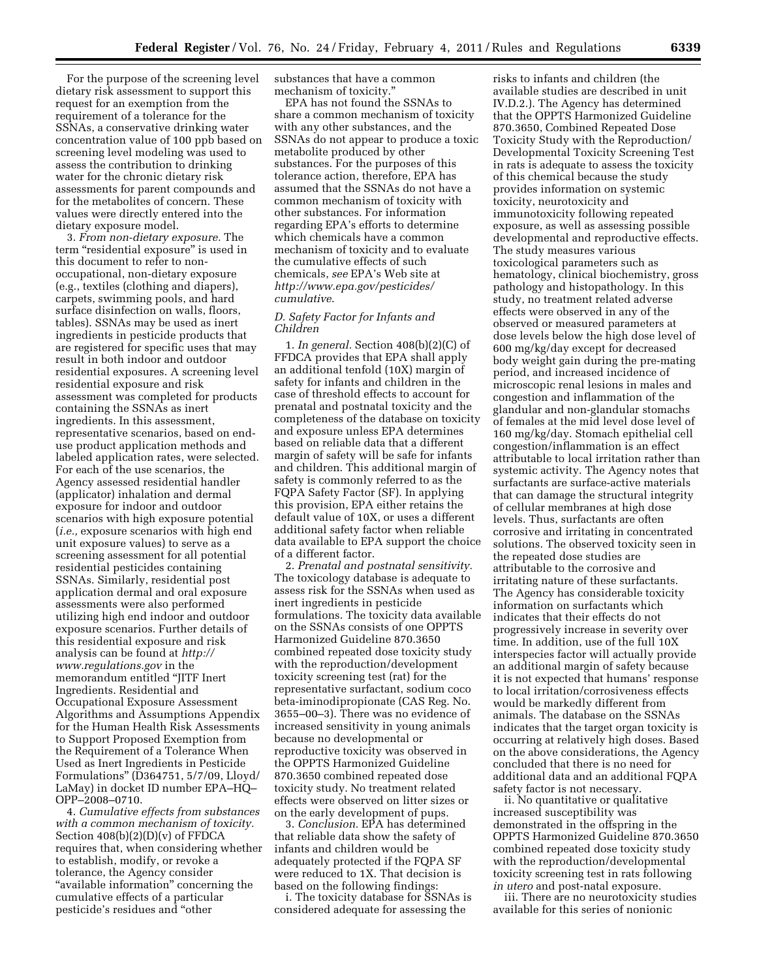For the purpose of the screening level dietary risk assessment to support this request for an exemption from the requirement of a tolerance for the SSNAs, a conservative drinking water concentration value of 100 ppb based on screening level modeling was used to assess the contribution to drinking water for the chronic dietary risk assessments for parent compounds and for the metabolites of concern. These values were directly entered into the dietary exposure model.

3. *From non-dietary exposure.* The term "residential exposure" is used in this document to refer to nonoccupational, non-dietary exposure (e.g., textiles (clothing and diapers), carpets, swimming pools, and hard surface disinfection on walls, floors, tables). SSNAs may be used as inert ingredients in pesticide products that are registered for specific uses that may result in both indoor and outdoor residential exposures. A screening level residential exposure and risk assessment was completed for products containing the SSNAs as inert ingredients. In this assessment, representative scenarios, based on enduse product application methods and labeled application rates, were selected. For each of the use scenarios, the Agency assessed residential handler (applicator) inhalation and dermal exposure for indoor and outdoor scenarios with high exposure potential (*i.e.,* exposure scenarios with high end unit exposure values) to serve as a screening assessment for all potential residential pesticides containing SSNAs. Similarly, residential post application dermal and oral exposure assessments were also performed utilizing high end indoor and outdoor exposure scenarios. Further details of this residential exposure and risk analysis can be found at *[http://](http://www.regulations.gov) [www.regulations.gov](http://www.regulations.gov)* in the memorandum entitled ''JITF Inert Ingredients. Residential and Occupational Exposure Assessment Algorithms and Assumptions Appendix for the Human Health Risk Assessments to Support Proposed Exemption from the Requirement of a Tolerance When Used as Inert Ingredients in Pesticide Formulations'' (D364751, 5/7/09, Lloyd/ LaMay) in docket ID number EPA–HQ– OPP–2008–0710.

4. *Cumulative effects from substances with a common mechanism of toxicity.*  Section 408(b)(2)(D)(v) of FFDCA requires that, when considering whether to establish, modify, or revoke a tolerance, the Agency consider "available information" concerning the cumulative effects of a particular pesticide's residues and ''other

substances that have a common mechanism of toxicity.''

EPA has not found the SSNAs to share a common mechanism of toxicity with any other substances, and the SSNAs do not appear to produce a toxic metabolite produced by other substances. For the purposes of this tolerance action, therefore, EPA has assumed that the SSNAs do not have a common mechanism of toxicity with other substances. For information regarding EPA's efforts to determine which chemicals have a common mechanism of toxicity and to evaluate the cumulative effects of such chemicals, *see* EPA's Web site at *[http://www.epa.gov/pesticides/](http://www.epa.gov/pesticides/cumulative) [cumulative](http://www.epa.gov/pesticides/cumulative)*.

## *D. Safety Factor for Infants and Children*

1. *In general.* Section 408(b)(2)(C) of FFDCA provides that EPA shall apply an additional tenfold (10X) margin of safety for infants and children in the case of threshold effects to account for prenatal and postnatal toxicity and the completeness of the database on toxicity and exposure unless EPA determines based on reliable data that a different margin of safety will be safe for infants and children. This additional margin of safety is commonly referred to as the FQPA Safety Factor (SF). In applying this provision, EPA either retains the default value of 10X, or uses a different additional safety factor when reliable data available to EPA support the choice of a different factor.

2. *Prenatal and postnatal sensitivity.*  The toxicology database is adequate to assess risk for the SSNAs when used as inert ingredients in pesticide formulations. The toxicity data available on the SSNAs consists of one OPPTS Harmonized Guideline 870.3650 combined repeated dose toxicity study with the reproduction/development toxicity screening test (rat) for the representative surfactant, sodium coco beta-iminodipropionate (CAS Reg. No. 3655–00–3). There was no evidence of increased sensitivity in young animals because no developmental or reproductive toxicity was observed in the OPPTS Harmonized Guideline 870.3650 combined repeated dose toxicity study. No treatment related effects were observed on litter sizes or on the early development of pups.

3. *Conclusion.* EPA has determined that reliable data show the safety of infants and children would be adequately protected if the FQPA SF were reduced to 1X. That decision is based on the following findings:

i. The toxicity database for SSNAs is considered adequate for assessing the

risks to infants and children (the available studies are described in unit IV.D.2.). The Agency has determined that the OPPTS Harmonized Guideline 870.3650, Combined Repeated Dose Toxicity Study with the Reproduction/ Developmental Toxicity Screening Test in rats is adequate to assess the toxicity of this chemical because the study provides information on systemic toxicity, neurotoxicity and immunotoxicity following repeated exposure, as well as assessing possible developmental and reproductive effects. The study measures various toxicological parameters such as hematology, clinical biochemistry, gross pathology and histopathology. In this study, no treatment related adverse effects were observed in any of the observed or measured parameters at dose levels below the high dose level of 600 mg/kg/day except for decreased body weight gain during the pre-mating period, and increased incidence of microscopic renal lesions in males and congestion and inflammation of the glandular and non-glandular stomachs of females at the mid level dose level of 160 mg/kg/day. Stomach epithelial cell congestion/inflammation is an effect attributable to local irritation rather than systemic activity. The Agency notes that surfactants are surface-active materials that can damage the structural integrity of cellular membranes at high dose levels. Thus, surfactants are often corrosive and irritating in concentrated solutions. The observed toxicity seen in the repeated dose studies are attributable to the corrosive and irritating nature of these surfactants. The Agency has considerable toxicity information on surfactants which indicates that their effects do not progressively increase in severity over time. In addition, use of the full 10X interspecies factor will actually provide an additional margin of safety because it is not expected that humans' response to local irritation/corrosiveness effects would be markedly different from animals. The database on the SSNAs indicates that the target organ toxicity is occurring at relatively high doses. Based on the above considerations, the Agency concluded that there is no need for additional data and an additional FQPA safety factor is not necessary.

ii. No quantitative or qualitative increased susceptibility was demonstrated in the offspring in the OPPTS Harmonized Guideline 870.3650 combined repeated dose toxicity study with the reproduction/developmental toxicity screening test in rats following *in utero* and post-natal exposure.

iii. There are no neurotoxicity studies available for this series of nonionic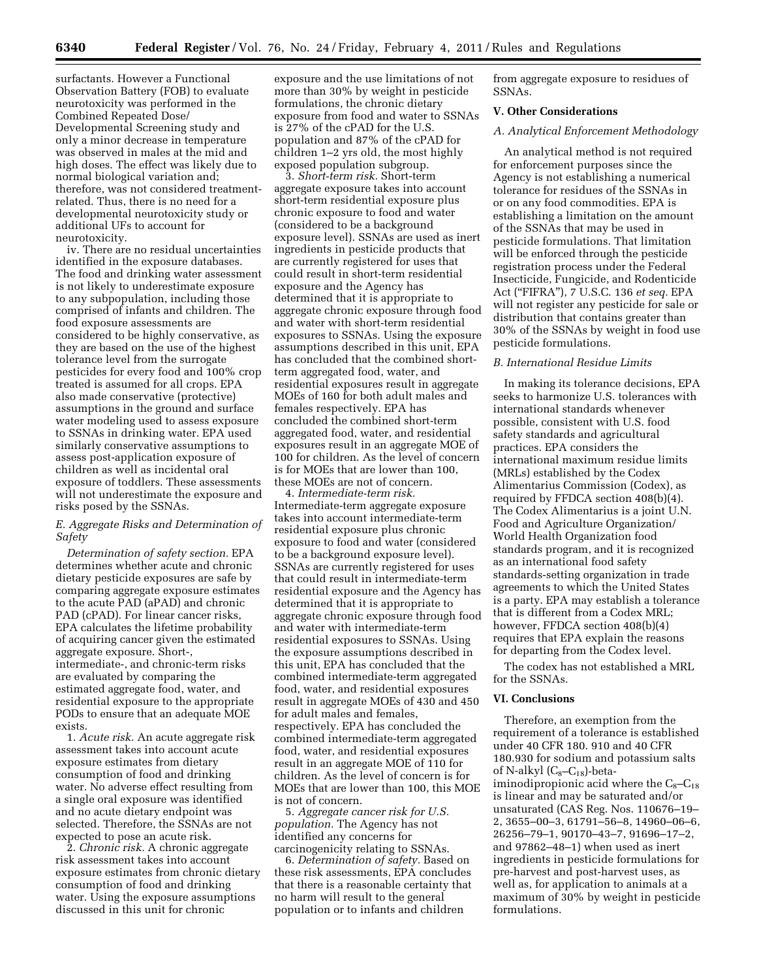surfactants. However a Functional Observation Battery (FOB) to evaluate neurotoxicity was performed in the Combined Repeated Dose/ Developmental Screening study and only a minor decrease in temperature was observed in males at the mid and high doses. The effect was likely due to normal biological variation and; therefore, was not considered treatmentrelated. Thus, there is no need for a developmental neurotoxicity study or additional UFs to account for neurotoxicity.

iv. There are no residual uncertainties identified in the exposure databases. The food and drinking water assessment is not likely to underestimate exposure to any subpopulation, including those comprised of infants and children. The food exposure assessments are considered to be highly conservative, as they are based on the use of the highest tolerance level from the surrogate pesticides for every food and 100% crop treated is assumed for all crops. EPA also made conservative (protective) assumptions in the ground and surface water modeling used to assess exposure to SSNAs in drinking water. EPA used similarly conservative assumptions to assess post-application exposure of children as well as incidental oral exposure of toddlers. These assessments will not underestimate the exposure and risks posed by the SSNAs.

## *E. Aggregate Risks and Determination of Safety*

*Determination of safety section.* EPA determines whether acute and chronic dietary pesticide exposures are safe by comparing aggregate exposure estimates to the acute PAD (aPAD) and chronic PAD (cPAD). For linear cancer risks, EPA calculates the lifetime probability of acquiring cancer given the estimated aggregate exposure. Short-, intermediate-, and chronic-term risks are evaluated by comparing the estimated aggregate food, water, and residential exposure to the appropriate PODs to ensure that an adequate MOE exists.

1. *Acute risk.* An acute aggregate risk assessment takes into account acute exposure estimates from dietary consumption of food and drinking water. No adverse effect resulting from a single oral exposure was identified and no acute dietary endpoint was selected. Therefore, the SSNAs are not expected to pose an acute risk.

2. *Chronic risk.* A chronic aggregate risk assessment takes into account exposure estimates from chronic dietary consumption of food and drinking water. Using the exposure assumptions discussed in this unit for chronic

exposure and the use limitations of not more than 30% by weight in pesticide formulations, the chronic dietary exposure from food and water to SSNAs is 27% of the cPAD for the U.S. population and 87% of the cPAD for children 1–2 yrs old, the most highly exposed population subgroup.

3. *Short-term risk.* Short-term aggregate exposure takes into account short-term residential exposure plus chronic exposure to food and water (considered to be a background exposure level). SSNAs are used as inert ingredients in pesticide products that are currently registered for uses that could result in short-term residential exposure and the Agency has determined that it is appropriate to aggregate chronic exposure through food and water with short-term residential exposures to SSNAs. Using the exposure assumptions described in this unit, EPA has concluded that the combined shortterm aggregated food, water, and residential exposures result in aggregate MOEs of 160 for both adult males and females respectively. EPA has concluded the combined short-term aggregated food, water, and residential exposures result in an aggregate MOE of 100 for children. As the level of concern is for MOEs that are lower than 100, these MOEs are not of concern.

4. *Intermediate-term risk.*  Intermediate-term aggregate exposure takes into account intermediate-term residential exposure plus chronic exposure to food and water (considered to be a background exposure level). SSNAs are currently registered for uses that could result in intermediate-term residential exposure and the Agency has determined that it is appropriate to aggregate chronic exposure through food and water with intermediate-term residential exposures to SSNAs. Using the exposure assumptions described in this unit, EPA has concluded that the combined intermediate-term aggregated food, water, and residential exposures result in aggregate MOEs of 430 and 450 for adult males and females, respectively. EPA has concluded the combined intermediate-term aggregated food, water, and residential exposures result in an aggregate MOE of 110 for children. As the level of concern is for MOEs that are lower than 100, this MOE is not of concern.

5. *Aggregate cancer risk for U.S. population.* The Agency has not identified any concerns for carcinogenicity relating to SSNAs.

6. *Determination of safety.* Based on these risk assessments, EPA concludes that there is a reasonable certainty that no harm will result to the general population or to infants and children

from aggregate exposure to residues of SSNAs.

## **V. Other Considerations**

### *A. Analytical Enforcement Methodology*

An analytical method is not required for enforcement purposes since the Agency is not establishing a numerical tolerance for residues of the SSNAs in or on any food commodities. EPA is establishing a limitation on the amount of the SSNAs that may be used in pesticide formulations. That limitation will be enforced through the pesticide registration process under the Federal Insecticide, Fungicide, and Rodenticide Act (''FIFRA''), 7 U.S.C. 136 *et seq.* EPA will not register any pesticide for sale or distribution that contains greater than 30% of the SSNAs by weight in food use pesticide formulations.

#### *B. International Residue Limits*

In making its tolerance decisions, EPA seeks to harmonize U.S. tolerances with international standards whenever possible, consistent with U.S. food safety standards and agricultural practices. EPA considers the international maximum residue limits (MRLs) established by the Codex Alimentarius Commission (Codex), as required by FFDCA section 408(b)(4). The Codex Alimentarius is a joint U.N. Food and Agriculture Organization/ World Health Organization food standards program, and it is recognized as an international food safety standards-setting organization in trade agreements to which the United States is a party. EPA may establish a tolerance that is different from a Codex MRL; however, FFDCA section 408(b)(4) requires that EPA explain the reasons for departing from the Codex level.

The codex has not established a MRL for the SSNAs.

## **VI. Conclusions**

Therefore, an exemption from the requirement of a tolerance is established under 40 CFR 180. 910 and 40 CFR 180.930 for sodium and potassium salts of N-alkyl  $(C_8-C_{18})$ -betaiminodipropionic acid where the  $C_8-C_{18}$ is linear and may be saturated and/or unsaturated (CAS Reg. Nos. 110676–19– 2, 3655–00–3, 61791–56–8, 14960–06–6, 26256–79–1, 90170–43–7, 91696–17–2, and 97862–48–1) when used as inert ingredients in pesticide formulations for pre-harvest and post-harvest uses, as well as, for application to animals at a maximum of 30% by weight in pesticide formulations.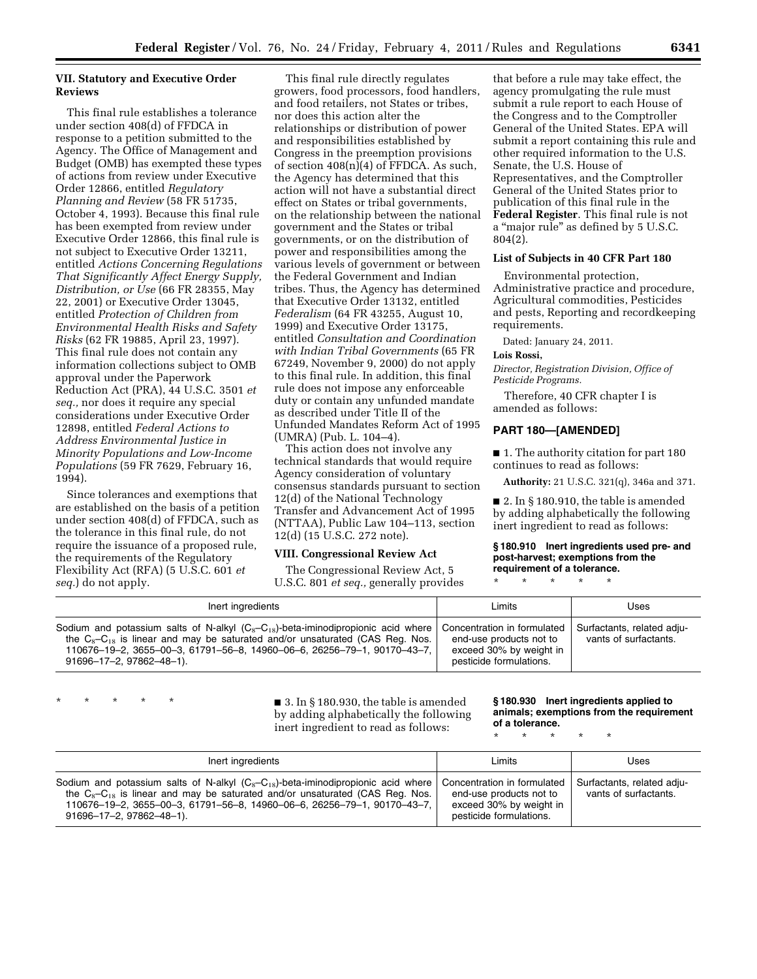## **VII. Statutory and Executive Order Reviews**

This final rule establishes a tolerance under section 408(d) of FFDCA in response to a petition submitted to the Agency. The Office of Management and Budget (OMB) has exempted these types of actions from review under Executive Order 12866, entitled *Regulatory Planning and Review* (58 FR 51735, October 4, 1993). Because this final rule has been exempted from review under Executive Order 12866, this final rule is not subject to Executive Order 13211, entitled *Actions Concerning Regulations That Significantly Affect Energy Supply, Distribution, or Use* (66 FR 28355, May 22, 2001) or Executive Order 13045, entitled *Protection of Children from Environmental Health Risks and Safety Risks* (62 FR 19885, April 23, 1997). This final rule does not contain any information collections subject to OMB approval under the Paperwork Reduction Act (PRA), 44 U.S.C. 3501 *et seq.,* nor does it require any special considerations under Executive Order 12898, entitled *Federal Actions to Address Environmental Justice in Minority Populations and Low-Income Populations* (59 FR 7629, February 16, 1994).

Since tolerances and exemptions that are established on the basis of a petition under section 408(d) of FFDCA, such as the tolerance in this final rule, do not require the issuance of a proposed rule, the requirements of the Regulatory Flexibility Act (RFA) (5 U.S.C. 601 *et seq.*) do not apply.

This final rule directly regulates growers, food processors, food handlers, and food retailers, not States or tribes, nor does this action alter the relationships or distribution of power and responsibilities established by Congress in the preemption provisions of section 408(n)(4) of FFDCA. As such, the Agency has determined that this action will not have a substantial direct effect on States or tribal governments, on the relationship between the national government and the States or tribal governments, or on the distribution of power and responsibilities among the various levels of government or between the Federal Government and Indian tribes. Thus, the Agency has determined that Executive Order 13132, entitled *Federalism* (64 FR 43255, August 10, 1999) and Executive Order 13175, entitled *Consultation and Coordination with Indian Tribal Governments* (65 FR 67249, November 9, 2000) do not apply to this final rule. In addition, this final rule does not impose any enforceable duty or contain any unfunded mandate as described under Title II of the Unfunded Mandates Reform Act of 1995 (UMRA) (Pub. L. 104–4).

This action does not involve any technical standards that would require Agency consideration of voluntary consensus standards pursuant to section 12(d) of the National Technology Transfer and Advancement Act of 1995 (NTTAA), Public Law 104–113, section 12(d) (15 U.S.C. 272 note).

### **VIII. Congressional Review Act**

The Congressional Review Act, 5 U.S.C. 801 *et seq.,* generally provides

that before a rule may take effect, the agency promulgating the rule must submit a rule report to each House of the Congress and to the Comptroller General of the United States. EPA will submit a report containing this rule and other required information to the U.S. Senate, the U.S. House of Representatives, and the Comptroller General of the United States prior to publication of this final rule in the **Federal Register**. This final rule is not a ''major rule'' as defined by 5 U.S.C. 804(2).

#### **List of Subjects in 40 CFR Part 180**

Environmental protection, Administrative practice and procedure, Agricultural commodities, Pesticides and pests, Reporting and recordkeeping requirements.

Dated: January 24, 2011.

#### **Lois Rossi,**

*Director, Registration Division, Office of Pesticide Programs.* 

Therefore, 40 CFR chapter I is amended as follows:

### **PART 180—[AMENDED]**

■ 1. The authority citation for part 180 continues to read as follows:

**Authority:** 21 U.S.C. 321(q), 346a and 371.

■ 2. In § 180.910, the table is amended by adding alphabetically the following inert ingredient to read as follows:

#### **§ 180.910 Inert ingredients used pre- and post-harvest; exemptions from the requirement of a tolerance.**

\* \* \* \* \*

| Inert ingredients                                                                                                                                                                                                                                                                  | Limits                                                                                                       | Uses                                                |
|------------------------------------------------------------------------------------------------------------------------------------------------------------------------------------------------------------------------------------------------------------------------------------|--------------------------------------------------------------------------------------------------------------|-----------------------------------------------------|
| Sodium and potassium salts of N-alkyl $(C_8-C_{18})$ -beta-iminodipropionic acid where<br>the $C_8-C_{18}$ is linear and may be saturated and/or unsaturated (CAS Req. Nos.<br>110676-19-2, 3655-00-3, 61791-56-8, 14960-06-6, 26256-79-1, 90170-43-7,<br>91696-17-2, 97862-48-1). | Concentration in formulated<br>end-use products not to<br>exceed 30% by weight in<br>pesticide formulations. | Surfactants, related adju-<br>vants of surfactants. |

\* \* \* \*  $\blacksquare$  3. In § 180.930, the table is amended by adding alphabetically the following inert ingredient to read as follows:

**§ 180.930 Inert ingredients applied to animals; exemptions from the requirement of a tolerance.** 

\* \* \* \* \*

| Inert ingredients                                                                                                                                                                                                                                                                 | Limits                                                                                                       | Uses                                                |
|-----------------------------------------------------------------------------------------------------------------------------------------------------------------------------------------------------------------------------------------------------------------------------------|--------------------------------------------------------------------------------------------------------------|-----------------------------------------------------|
| Sodium and potassium salts of N-alkyl $(C_8-C_{18})$ -beta-iminodipropionic acid where<br>the $C_8-C_{18}$ is linear and may be saturated and/or unsaturated (CAS Reg. Nos.<br>110676-19-2, 3655-00-3, 61791-56-8, 14960-06-6, 26256-79-1, 90170-43-7,<br>91696-17-2.97862-48-1). | Concentration in formulated<br>end-use products not to<br>exceed 30% by weight in<br>pesticide formulations. | Surfactants, related adju-<br>vants of surfactants. |